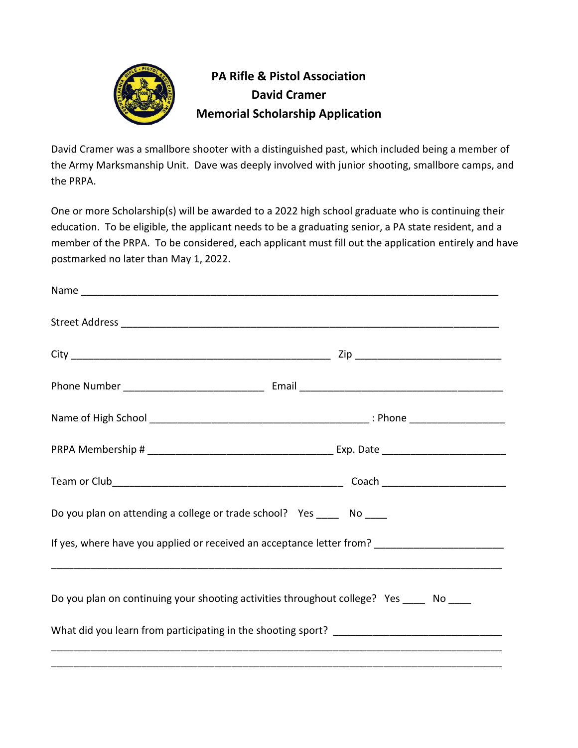

## **PA Rifle & Pistol Association David Cramer Memorial Scholarship Application**

David Cramer was a smallbore shooter with a distinguished past, which included being a member of the Army Marksmanship Unit. Dave was deeply involved with junior shooting, smallbore camps, and the PRPA.

One or more Scholarship(s) will be awarded to a 2022 high school graduate who is continuing their education. To be eligible, the applicant needs to be a graduating senior, a PA state resident, and a member of the PRPA. To be considered, each applicant must fill out the application entirely and have postmarked no later than May 1, 2022.

| Do you plan on attending a college or trade school? Yes ______ No _____                                       |
|---------------------------------------------------------------------------------------------------------------|
| If yes, where have you applied or received an acceptance letter from? [1997] [1998] [1998] [1998] [1998] [199 |
| Do you plan on continuing your shooting activities throughout college? Yes ____ No ____                       |
|                                                                                                               |
|                                                                                                               |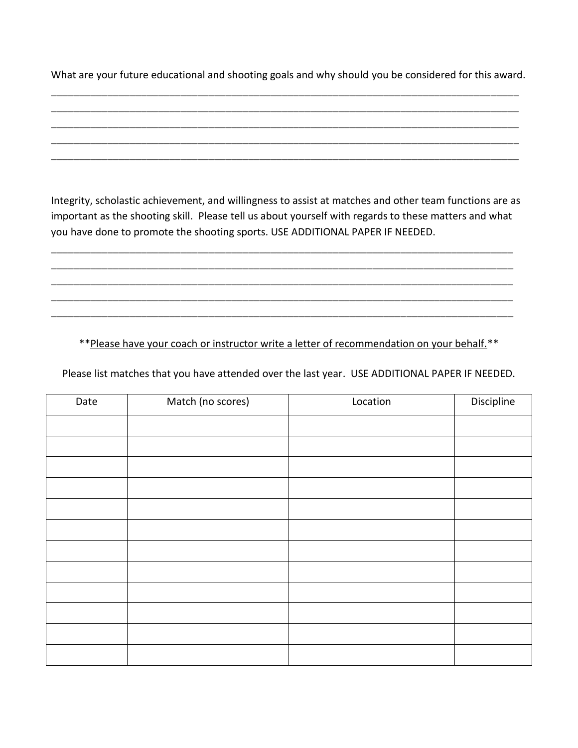What are your future educational and shooting goals and why should you be considered for this award. \_\_\_\_\_\_\_\_\_\_\_\_\_\_\_\_\_\_\_\_\_\_\_\_\_\_\_\_\_\_\_\_\_\_\_\_\_\_\_\_\_\_\_\_\_\_\_\_\_\_\_\_\_\_\_\_\_\_\_\_\_\_\_\_\_\_\_\_\_\_\_\_\_\_\_\_\_\_\_\_\_\_\_

\_\_\_\_\_\_\_\_\_\_\_\_\_\_\_\_\_\_\_\_\_\_\_\_\_\_\_\_\_\_\_\_\_\_\_\_\_\_\_\_\_\_\_\_\_\_\_\_\_\_\_\_\_\_\_\_\_\_\_\_\_\_\_\_\_\_\_\_\_\_\_\_\_\_\_\_\_\_\_\_\_\_\_ \_\_\_\_\_\_\_\_\_\_\_\_\_\_\_\_\_\_\_\_\_\_\_\_\_\_\_\_\_\_\_\_\_\_\_\_\_\_\_\_\_\_\_\_\_\_\_\_\_\_\_\_\_\_\_\_\_\_\_\_\_\_\_\_\_\_\_\_\_\_\_\_\_\_\_\_\_\_\_\_\_\_\_ \_\_\_\_\_\_\_\_\_\_\_\_\_\_\_\_\_\_\_\_\_\_\_\_\_\_\_\_\_\_\_\_\_\_\_\_\_\_\_\_\_\_\_\_\_\_\_\_\_\_\_\_\_\_\_\_\_\_\_\_\_\_\_\_\_\_\_\_\_\_\_\_\_\_\_\_\_\_\_\_\_\_\_ \_\_\_\_\_\_\_\_\_\_\_\_\_\_\_\_\_\_\_\_\_\_\_\_\_\_\_\_\_\_\_\_\_\_\_\_\_\_\_\_\_\_\_\_\_\_\_\_\_\_\_\_\_\_\_\_\_\_\_\_\_\_\_\_\_\_\_\_\_\_\_\_\_\_\_\_\_\_\_\_\_\_\_

Integrity, scholastic achievement, and willingness to assist at matches and other team functions are as important as the shooting skill. Please tell us about yourself with regards to these matters and what you have done to promote the shooting sports. USE ADDITIONAL PAPER IF NEEDED.

\_\_\_\_\_\_\_\_\_\_\_\_\_\_\_\_\_\_\_\_\_\_\_\_\_\_\_\_\_\_\_\_\_\_\_\_\_\_\_\_\_\_\_\_\_\_\_\_\_\_\_\_\_\_\_\_\_\_\_\_\_\_\_\_\_\_\_\_\_\_\_\_\_\_\_\_\_\_\_\_\_\_ \_\_\_\_\_\_\_\_\_\_\_\_\_\_\_\_\_\_\_\_\_\_\_\_\_\_\_\_\_\_\_\_\_\_\_\_\_\_\_\_\_\_\_\_\_\_\_\_\_\_\_\_\_\_\_\_\_\_\_\_\_\_\_\_\_\_\_\_\_\_\_\_\_\_\_\_\_\_\_\_\_\_ \_\_\_\_\_\_\_\_\_\_\_\_\_\_\_\_\_\_\_\_\_\_\_\_\_\_\_\_\_\_\_\_\_\_\_\_\_\_\_\_\_\_\_\_\_\_\_\_\_\_\_\_\_\_\_\_\_\_\_\_\_\_\_\_\_\_\_\_\_\_\_\_\_\_\_\_\_\_\_\_\_\_ \_\_\_\_\_\_\_\_\_\_\_\_\_\_\_\_\_\_\_\_\_\_\_\_\_\_\_\_\_\_\_\_\_\_\_\_\_\_\_\_\_\_\_\_\_\_\_\_\_\_\_\_\_\_\_\_\_\_\_\_\_\_\_\_\_\_\_\_\_\_\_\_\_\_\_\_\_\_\_\_\_\_ \_\_\_\_\_\_\_\_\_\_\_\_\_\_\_\_\_\_\_\_\_\_\_\_\_\_\_\_\_\_\_\_\_\_\_\_\_\_\_\_\_\_\_\_\_\_\_\_\_\_\_\_\_\_\_\_\_\_\_\_\_\_\_\_\_\_\_\_\_\_\_\_\_\_\_\_\_\_\_\_\_\_

\*\*Please have your coach or instructor write a letter of recommendation on your behalf.\*\*

Please list matches that you have attended over the last year. USE ADDITIONAL PAPER IF NEEDED.

| Date | Match (no scores) | Location | Discipline |
|------|-------------------|----------|------------|
|      |                   |          |            |
|      |                   |          |            |
|      |                   |          |            |
|      |                   |          |            |
|      |                   |          |            |
|      |                   |          |            |
|      |                   |          |            |
|      |                   |          |            |
|      |                   |          |            |
|      |                   |          |            |
|      |                   |          |            |
|      |                   |          |            |